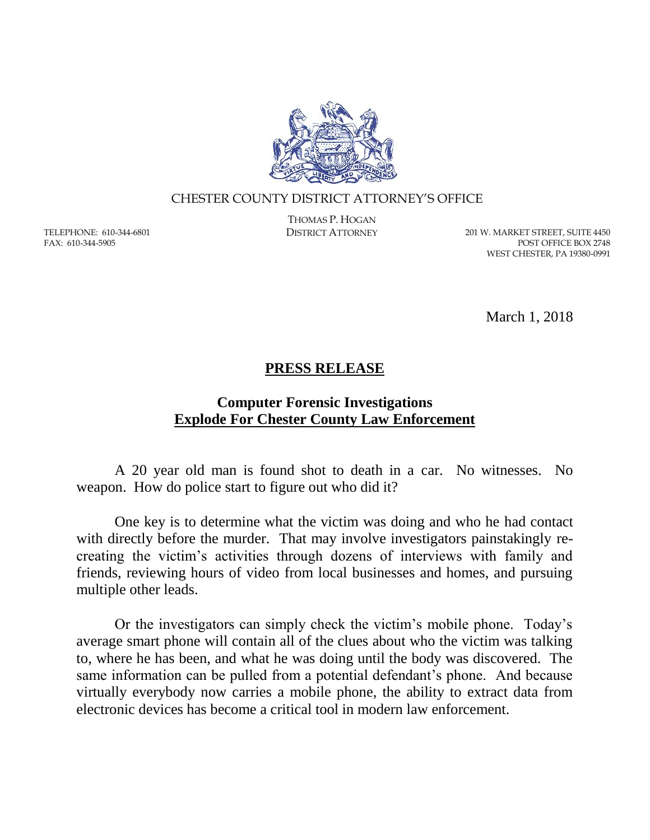

#### CHESTER COUNTY DISTRICT ATTORNEY'S OFFICE

TELEPHONE: 610-344-6801 FAX: 610-344-5905

THOMAS P. HOGAN

DISTRICT ATTORNEY 201 W. MARKET STREET, SUITE 4450 POST OFFICE BOX 2748 WEST CHESTER, PA 19380-0991

March 1, 2018

#### **PRESS RELEASE**

### **Computer Forensic Investigations Explode For Chester County Law Enforcement**

A 20 year old man is found shot to death in a car. No witnesses. No weapon. How do police start to figure out who did it?

One key is to determine what the victim was doing and who he had contact with directly before the murder. That may involve investigators painstakingly recreating the victim's activities through dozens of interviews with family and friends, reviewing hours of video from local businesses and homes, and pursuing multiple other leads.

Or the investigators can simply check the victim's mobile phone. Today's average smart phone will contain all of the clues about who the victim was talking to, where he has been, and what he was doing until the body was discovered. The same information can be pulled from a potential defendant's phone. And because virtually everybody now carries a mobile phone, the ability to extract data from electronic devices has become a critical tool in modern law enforcement.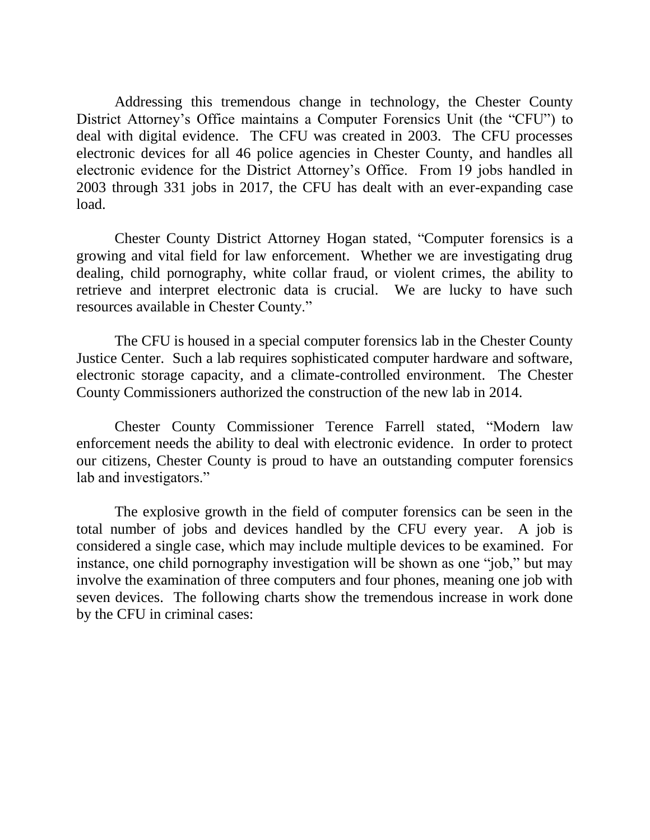Addressing this tremendous change in technology, the Chester County District Attorney's Office maintains a Computer Forensics Unit (the "CFU") to deal with digital evidence. The CFU was created in 2003. The CFU processes electronic devices for all 46 police agencies in Chester County, and handles all electronic evidence for the District Attorney's Office. From 19 jobs handled in 2003 through 331 jobs in 2017, the CFU has dealt with an ever-expanding case load.

Chester County District Attorney Hogan stated, "Computer forensics is a growing and vital field for law enforcement. Whether we are investigating drug dealing, child pornography, white collar fraud, or violent crimes, the ability to retrieve and interpret electronic data is crucial. We are lucky to have such resources available in Chester County."

The CFU is housed in a special computer forensics lab in the Chester County Justice Center. Such a lab requires sophisticated computer hardware and software, electronic storage capacity, and a climate-controlled environment. The Chester County Commissioners authorized the construction of the new lab in 2014.

Chester County Commissioner Terence Farrell stated, "Modern law enforcement needs the ability to deal with electronic evidence. In order to protect our citizens, Chester County is proud to have an outstanding computer forensics lab and investigators."

The explosive growth in the field of computer forensics can be seen in the total number of jobs and devices handled by the CFU every year. A job is considered a single case, which may include multiple devices to be examined. For instance, one child pornography investigation will be shown as one "job," but may involve the examination of three computers and four phones, meaning one job with seven devices. The following charts show the tremendous increase in work done by the CFU in criminal cases: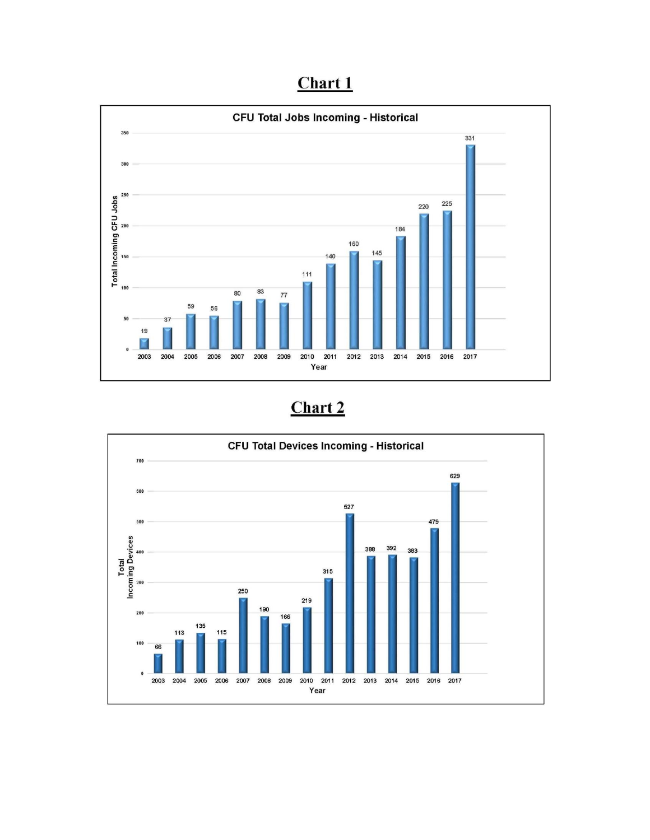## Chart 1



# Chart 2

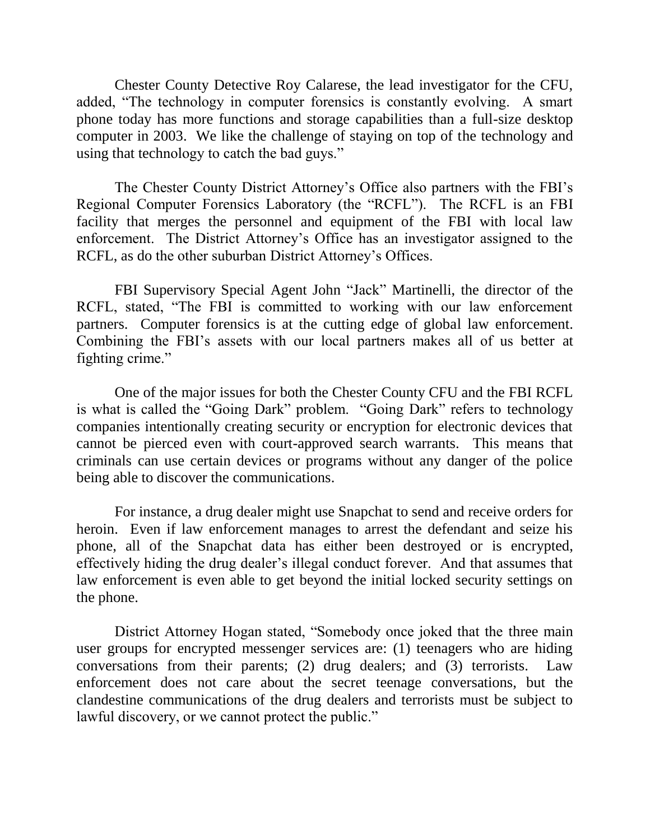Chester County Detective Roy Calarese, the lead investigator for the CFU, added, "The technology in computer forensics is constantly evolving. A smart phone today has more functions and storage capabilities than a full-size desktop computer in 2003. We like the challenge of staying on top of the technology and using that technology to catch the bad guys."

The Chester County District Attorney's Office also partners with the FBI's Regional Computer Forensics Laboratory (the "RCFL"). The RCFL is an FBI facility that merges the personnel and equipment of the FBI with local law enforcement. The District Attorney's Office has an investigator assigned to the RCFL, as do the other suburban District Attorney's Offices.

FBI Supervisory Special Agent John "Jack" Martinelli, the director of the RCFL, stated, "The FBI is committed to working with our law enforcement partners. Computer forensics is at the cutting edge of global law enforcement. Combining the FBI's assets with our local partners makes all of us better at fighting crime."

One of the major issues for both the Chester County CFU and the FBI RCFL is what is called the "Going Dark" problem. "Going Dark" refers to technology companies intentionally creating security or encryption for electronic devices that cannot be pierced even with court-approved search warrants. This means that criminals can use certain devices or programs without any danger of the police being able to discover the communications.

For instance, a drug dealer might use Snapchat to send and receive orders for heroin. Even if law enforcement manages to arrest the defendant and seize his phone, all of the Snapchat data has either been destroyed or is encrypted, effectively hiding the drug dealer's illegal conduct forever. And that assumes that law enforcement is even able to get beyond the initial locked security settings on the phone.

District Attorney Hogan stated, "Somebody once joked that the three main user groups for encrypted messenger services are: (1) teenagers who are hiding conversations from their parents; (2) drug dealers; and (3) terrorists. Law enforcement does not care about the secret teenage conversations, but the clandestine communications of the drug dealers and terrorists must be subject to lawful discovery, or we cannot protect the public."